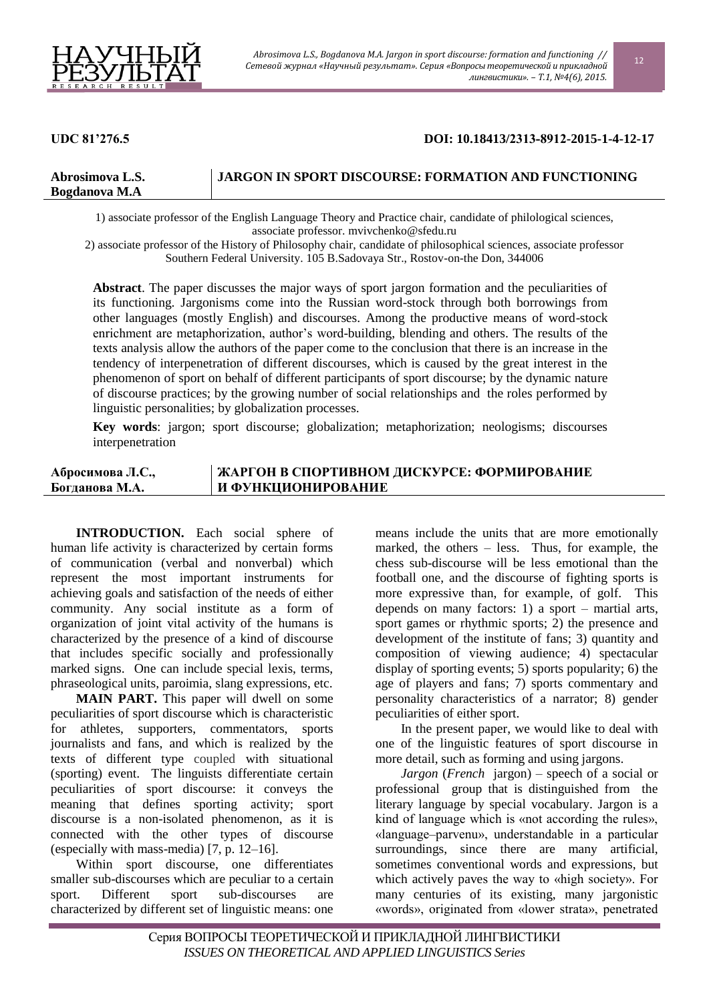

## **UDC 81'276.5 DOI: 10.18413/2313-8912-2015-1-4-12-17**

| Abrosimova L.S.      | <b>I JARGON IN SPORT DISCOURSE: FORMATION AND FUNCTIONING</b> |
|----------------------|---------------------------------------------------------------|
| <b>Bogdanova M.A</b> |                                                               |

1) associate professor of the English Language Theory and Practice chair, candidate of philological sciences, associate professor. mvivchenko@sfedu.ru

2) associate professor of the History of Philosophy chair, candidate of philosophical sciences, associate professor Southern Federal University. 105 B.Sadovaya Str., Rostov-on-the Don, 344006

**Abstract**. The paper discusses the major ways of sport jargon formation and the peculiarities of its functioning. Jargonisms come into the Russian word-stock through both borrowings from other languages (mostly English) and discourses. Among the productive means of word-stock enrichment are metaphorization, author's word-building, blending and others. The results of the texts analysis allow the authors of the paper come to the conclusion that there is an increase in the tendency of interpenetration of different discourses, which is caused by the great interest in the phenomenon of sport on behalf of different participants of sport discourse; by the dynamic nature of discourse practices; by the growing number of social relationships and the roles performed by linguistic personalities; by globalization processes.

**Key words**: jargon; sport discourse; globalization; metaphorization; neologisms; discourses interpenetration

## **Абросимова Л.С., Богданова М.А. ЖАРГОН В СПОРТИВНОМ ДИСКУРСЕ: ФОРМИРОВАНИЕ И ФУНКЦИОНИРОВАНИЕ**

**INTRODUCTION.** Each social sphere of human life activity is characterized by certain forms of communication (verbal and nonverbal) which represent the most important instruments for achieving goals and satisfaction of the needs of either community. Any social institute as a form of organization of joint vital activity of the humans is characterized by the presence of a kind of discourse that includes specific socially and professionally marked signs. One can include special lexis, terms, phraseological units, paroimia, slang expressions, etc.

**MAIN PART.** This paper will dwell on some peculiarities of sport discourse which is characteristic for athletes, supporters, commentators, sports journalists and fans, and which is realized by the texts of different type coupled with situational (sporting) event. The linguists differentiate certain peculiarities of sport discourse: it conveys the meaning that defines sporting activity; sport discourse is a non-isolated phenomenon, as it is connected with the other types of discourse (especially with mass-media) [7, p. 12–16].

Within sport discourse, one differentiates smaller sub-discourses which are peculiar to a certain sport. Different sport sub-discourses are characterized by different set of linguistic means: one

means include the units that are more emotionally marked, the others – less. Thus, for example, the chess sub-discourse will be less emotional than the football one, and the discourse of fighting sports is more expressive than, for example, of golf. This depends on many factors: 1) a sport – martial arts, sport games or rhythmic sports; 2) the presence and development of the institute of fans; 3) quantity and composition of viewing audience; 4) spectacular display of sporting events; 5) sports popularity; 6) the age of players and fans; 7) sports commentary and personality characteristics of a narrator; 8) gender peculiarities of either sport.

In the present paper, we would like to deal with one of the linguistic features of sport discourse in more detail, such as forming and using jargons.

*Jargon* (*French* jargon) – speech of a social or professional group that is distinguished from the literary language by special vocabulary. Jargon is a kind of language which is «not according the rules», «language–parvenu», understandable in a particular surroundings, since there are many artificial, sometimes conventional words and expressions, but which actively paves the way to «high society». For many centuries of its existing, many jargonistic «words», originated from «lower strata», penetrated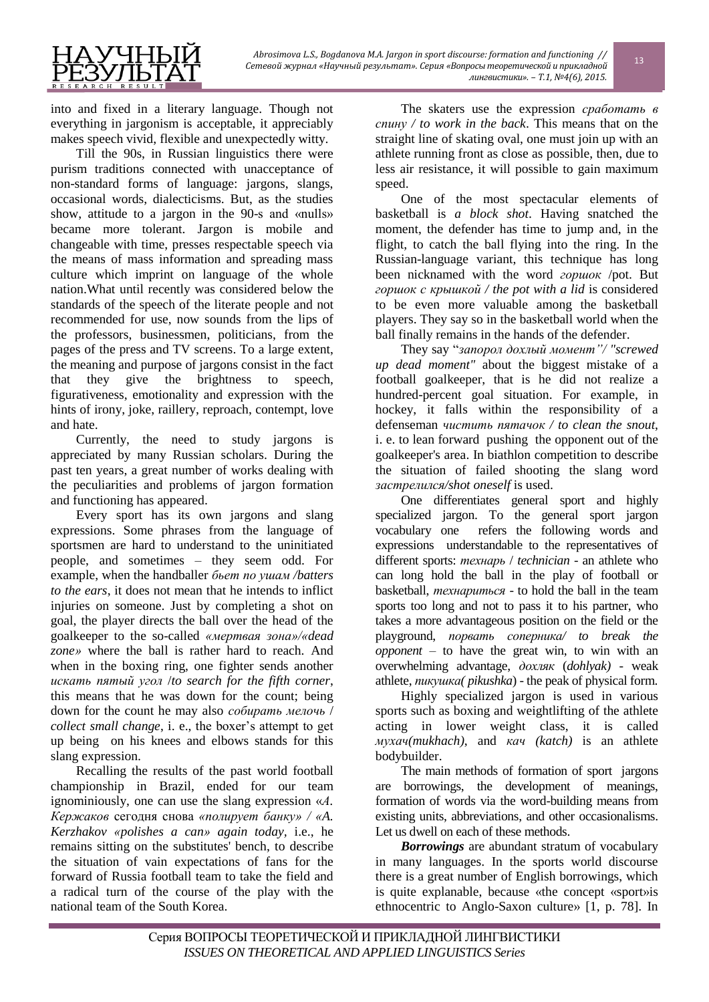

into and fixed in a literary language. Though not everything in jargonism is acceptable, it appreciably makes speech vivid, flexible and unexpectedly witty.

Till the 90s, in Russian linguistics there were purism traditions connected with unacceptance of non-standard forms of language: jargons, slangs, occasional words, dialecticisms. But, as the studies show, attitude to a jargon in the 90-s and «nulls» became more tolerant. Jargon is mobile and changeable with time, presses respectable speech via the means of mass information and spreading mass culture which imprint on language of the whole nation.What until recently was considered below the standards of the speech of the literate people and not recommended for use, now sounds from the lips of the professors, businessmen, politicians, from the pages of the press and TV screens. To a large extent, the meaning and purpose of jargons consist in the fact that they give the brightness to speech, figurativeness, emotionality and expression with the hints of irony, joke, raillery, reproach, contempt, love and hate.

Currently, the need to study jargons is appreciated by many Russian scholars. During the past ten years, a great number of works dealing with the peculiarities and problems of jargon formation and functioning has appeared.

Every sport has its own jargons and slang expressions. Some phrases from the language of sportsmen are hard to understand to the uninitiated people, and sometimes – they seem odd. For example, when the handballer *бьет по ушам /batters to the ears*, it does not mean that he intends to inflict injuries on someone. Just by completing a shot on goal, the player directs the ball over the head of the goalkeeper to the so-called *«мертвая зона»/«dead zone»* where the ball is rather hard to reach. And when in the boxing ring, one fighter sends another *искать пятый угол* /*to search for the fifth corner*, this means that he was down for the count; being down for the count he may also *собирать мелочь* / *collect small change*, i. e., the boxer's attempt to get up being on his knees and elbows stands for this slang expression.

Recalling the results of the past world football championship in Brazil, ended for our team ignominiously, one can use the slang expression «*А. Кержаков* сегодня снова *«полирует банку» / «A. Kerzhakov «polishes a can» again today,* i.e., he remains sitting on the substitutes' bench, to describe the situation of vain expectations of fans for the forward of Russia football team to take the field and a radical turn of the course of the play with the national team of the South Korea.

The skaters use the expression *сработать в спину / to work in the back*. This means that on the straight line of skating oval, one must join up with an athlete running front as close as possible, then, due to less air resistance, it will possible to gain maximum speed.

One of the most spectacular elements of basketball is *a block shot*. Having snatched the moment, the defender has time to jump and, in the flight, to catch the ball flying into the ring. In the Russian-language variant, this technique has long been nicknamed with the word *горшок* /pot. But *горшок с крышкой / the pot with a lid* is considered to be even more valuable among the basketball players. They say so in the basketball world when the ball finally remains in the hands of the defender.

They say "*запорол дохлый момент"/ "screwed up dead moment"* about the biggest mistake of a football goalkeeper, that is he did not realize a hundred-percent goal situation. For example, in hockey, it falls within the responsibility of a defenseman *чистить пятачок / to clean the snout*, i. e. to lean forward pushing the opponent out of the goalkeeper's area. In biathlon competition to describe the situation of failed shooting the slang word *застрелился/shot oneself* is used.

One differentiates general sport and highly specialized jargon. To the general sport jargon vocabulary one refers the following words and expressions understandable to the representatives of different sports: *технарь* / *technician* - an athlete who can long hold the ball in the play of football or basketball, *технариться* - to hold the ball in the team sports too long and not to pass it to his partner, who takes a more advantageous position on the field or the playground, *порвать соперника/ to break the opponent* – to have the great win, to win with an overwhelming advantage, *дохляк* (*dohlyak)* - weak athlete, *пикушка( pikushka*) - the peak of physical form.

Highly specialized jargon is used in various sports such as boxing and weightlifting of the athlete acting in lower weight class, it is called *мухач(mukhach)*, and *кач (katch)* is an athlete bodybuilder.

The main methods of formation of sport jargons are borrowings, the development of meanings, formation of words via the word-building means from existing units, abbreviations, and other occasionalisms. Let us dwell on each of these methods.

*Borrowings* are abundant stratum of vocabulary in many languages. In the sports world discourse there is a great number of English borrowings, which is quite explanable, because «the concept «sport»is ethnocentric to Anglo-Saxon culture» [1, p. 78]. In

13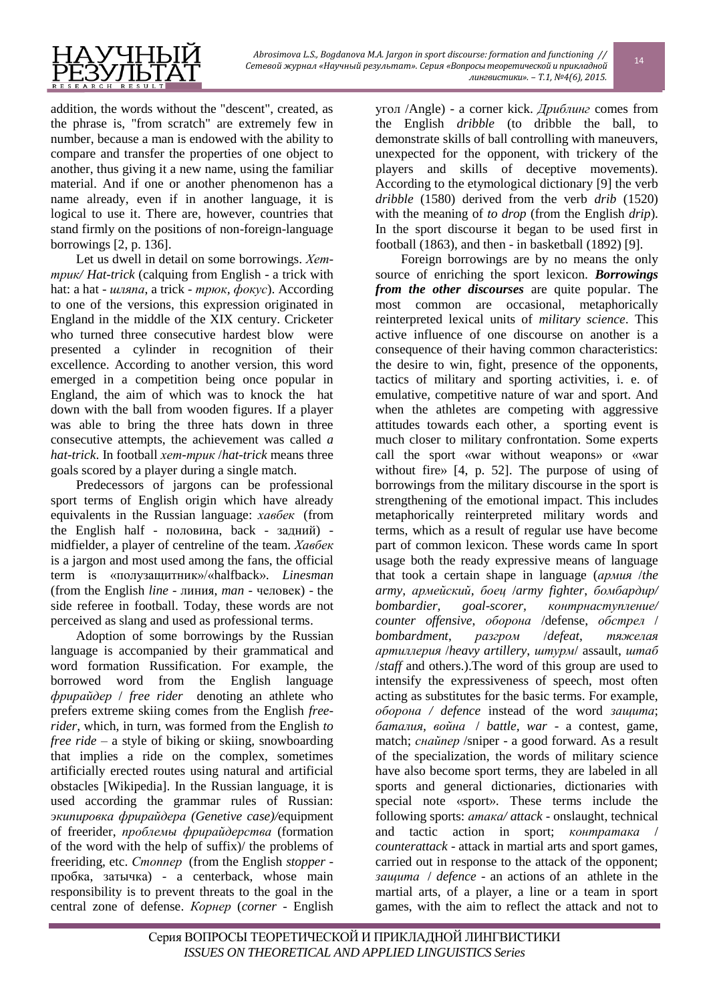

addition, the words without the "descent", created, as the phrase is, "from scratch" are extremely few in number, because a man is endowed with the ability to compare and transfer the properties of one object to another, thus giving it a new name, using the familiar material. And if one or another phenomenon has a name already, even if in another language, it is logical to use it. There are, however, countries that stand firmly on the positions of non-foreign-language borrowings [2, p. 136].

Let us dwell in detail on some borrowings. *Хеттрик/ Hat-trick* (calquing from English - a trick with hat: a hat - *шляпа*, a trick - *трюк, фокус*). According to one of the versions, this expression originated in England in the middle of the XIX century. Cricketer who turned three consecutive hardest blow were presented a cylinder in recognition of their excellence. According to another version, this word emerged in a competition being once popular in England, the aim of which was to knock the hat down with the ball from wooden figures. If a player was able to bring the three hats down in three consecutive attempts, the achievement was called *a hat-trick*. In football *хет-трик* /*hat-trick* means three goals scored by a player during a single match.

Predecessors of jargons can be professional sport terms of English origin which have already equivalents in the Russian language: *хавбек* (from the English half - половина, back - задний) midfielder, a player of centreline of the team. *Хавбек* is a jargon and most used among the fans, the official term is «полузащитник»/«halfback». *Linesman* (from the English *line* - линия, *man* - человек) - the side referee in football. Today, these words are not perceived as slang and used as professional terms.

Adoption of some borrowings by the Russian language is accompanied by their grammatical and word formation Russification. For example, the borrowed word from the English language *фрирайдер* / *free rider* denoting an athlete who prefers extreme skiing comes from the English *freerider*, which, in turn, was formed from the English *to free ride* – a style of biking or skiing, snowboarding that implies a ride on the complex, sometimes artificially erected routes using natural and artificial obstacles [Wikipedia]. In the Russian language, it is used according the grammar rules of Russian: *экипировка фрирайдера (Genetive case)/*equipment of freerider, *проблемы фрирайдерства* (formation of the word with the help of suffix)/ the problems of freeriding, etc. *Стоппер* (from the English *stopper* пробка, затычка) - a centerback, whose main responsibility is to prevent threats to the goal in the central zone of defense. *Корнер* (*corner* - English угол /Angle) - a corner kick. *Дриблинг* comes from the English *dribble* (to dribble the ball, to demonstrate skills of ball controlling with maneuvers, unexpected for the opponent, with trickery of the players and skills of deceptive movements). According to the etymological dictionary [9] the verb *dribble* (1580) derived from the verb *drib* (1520) with the meaning of *to drop* (from the English *drip*). In the sport discourse it began to be used first in football (1863), and then - in basketball (1892) [9].

14

Foreign borrowings are by no means the only source of enriching the sport lexicon. *Borrowings from the other discourses* are quite popular. The most common are occasional, metaphorically reinterpreted lexical units of *military science*. This active influence of one discourse on another is a consequence of their having common characteristics: the desire to win, fight, presence of the opponents, tactics of military and sporting activities, i. e. of emulative, competitive nature of war and sport. And when the athletes are competing with aggressive attitudes towards each other, a sporting event is much closer to military confrontation. Some experts call the sport «war without weapons» or «war without fire» [4, p. 52]. The purpose of using of borrowings from the military discourse in the sport is strengthening of the emotional impact. This includes metaphorically reinterpreted military words and terms, which as a result of regular use have become part of common lexicon. These words came In sport usage both the ready expressive means of language that took a certain shape in language (*армия* /*the army, армейский, боец* /*army fighter*, *бомбардир/ bombardier, goal-scorer, контрнаступление/ counter offensive*, *оборона* /defense, *обстрел* / *bombardment*, *разгром* /*defeat*, *тяжелая артиллерия* /*heavy artillery*, *штурм*/ assault, *штаб* /*staff* and others.).The word of this group are used to intensify the expressiveness of speech, most often acting as substitutes for the basic terms. For example, *оборона / defence* instead of the word *защита*; *баталия, война* / *battle, war* - a contest, game, match; *снайпер* /sniper - a good forward. As a result of the specialization, the words of military science have also become sport terms, they are labeled in all sports and general dictionaries, dictionaries with special note «sport». These terms include the following sports: *атака/ attack* - onslaught, technical and tactic action in sport; *контратака* / *counterattack* - attack in martial arts and sport games, carried out in response to the attack of the opponent; *защита* / *defence* - an actions of an athlete in the martial arts, of a player, a line or a team in sport games, with the aim to reflect the attack and not to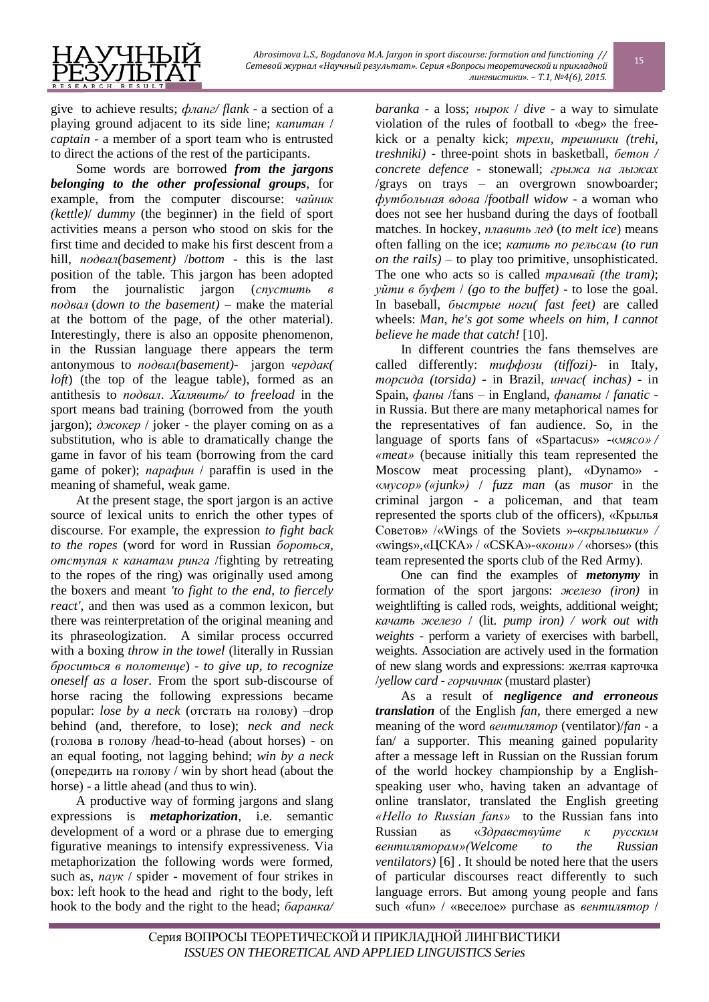

give to achieve results; *фланг/ flank* - a section of a playing ground adjacent to its side line; *капитан* / *captain* - a member of a sport team who is entrusted to direct the actions of the rest of the participants.

Some words are borrowed *from the jargons belonging to the other professional groups*, for example, from the computer discourse: *чайник (kettle)*/ *dummy* (the beginner) in the field of sport activities means a person who stood on skis for the first time and decided to make his first descent from a hill, *подвал(basement)* /*bottom* - this is the last position of the table. This jargon has been adopted from the journalistic jargon (*спустить в подвал* (*down to the basement)* – make the material at the bottom of the page, of the other material). Interestingly, there is also an opposite phenomenon, in the Russian language there appears the term antonymous to *подвал(basement)-* jargon *чердак( loft*) (the top of the league table), formed as an antithesis to *подвал*. *Халявить/ to freeload* in the sport means bad training (borrowed from the youth jargon); *джокер* / joker - the player coming on as a substitution, who is able to dramatically change the game in favor of his team (borrowing from the card game of poker); *парафин* / paraffin is used in the meaning of shameful, weak game.

At the present stage, the sport jargon is an active source of lexical units to enrich the other types of discourse. For example, the expression *to fight back to the ropes* (word for word in Russian *бороться, отступая к канатам ринга* /fighting by retreating to the ropes of the ring) was originally used among the boxers and meant *'to fight to the end, to fiercely react'*, and then was used as a common lexicon, but there was reinterpretation of the original meaning and its phraseologization. A similar process occurred with a boxing *throw in the towel* (literally in Russian *броситься в полотенце*) - *to give up, to recognize oneself as a loser.* From the sport sub-discourse of horse racing the following expressions became popular: *lose by a neck* (отстать на голову) –drop behind (and, therefore, to lose); *neck and neck* (голова в голову /head-to-head (about horses) - on an equal footing, not lagging behind; *win by a neck* (опередить на голову / win by short head (about the horse) - a little ahead (and thus to win).

A productive way of forming jargons and slang expressions is *metaphorization*, i.e. semantic development of a word or a phrase due to emerging figurative meanings to intensify expressiveness. Via metaphorization the following words were formed, such as, *паук* / spider - movement of four strikes in box: left hook to the head and right to the body, left hook to the body and the right to the head; *баранка/* 

*baranka* - a loss; *нырок* / *dive* - a way to simulate violation of the rules of football to «beg» the freekick or a penalty kick; *трехи, трешники (trehi, treshniki)* - three-point shots in basketball, *бетон / concrete defence* - stonewall; *грыжа на лыжах* /grays on trays – an overgrown snowboarder; *футбольная вдова* /*football widow* - a woman who does not see her husband during the days of football matches. In hockey, *плавить лед* (*to melt ice*) means often falling on the ice; *катить по рельсам (to run on the rails)* – to play too primitive, unsophisticated. The one who acts so is called *трамвай (the tram)*; *уйти в буфет* / *(go to the buffet)* - to lose the goal. In baseball, *быстрые ноги( fast feet)* are called wheels: *Man, he's got some wheels on him, I cannot believe he made that catch!* [10].

In different countries the fans themselves are called differently: *тиффози (tiffozi)*- in Italy, *торсида (torsida)* - in Brazil, *инчас( inchas)* - in Spain, *фаны* /fans – in England, *фанаты* / *fanatic* in Russia. But there are many metaphorical names for the representatives of fan audience. So, in the language of sports fans of «Spartacus» -«*мясо» / «meat»* (because initially this team represented the Moscow meat processing plant), «Dynamo» - «*мусор» («junk»)* / *fuzz man* (as *musor* in the criminal jargon - a policeman, and that team represented the sports club of the officers), «Крылья Советов» /«Wings of the Soviets »-«*крылышки» /*  «wings»,«ЦСКА» / «CSKA»-«*кони» /* «horses» (this team represented the sports club of the Red Army).

One can find the examples of *metonymy* in formation of the sport jargons: *железо (iron)* in weightlifting is called rods, weights, additional weight; *качать железо* / (lit. *pump iron) / work out with weights* - perform a variety of exercises with barbell, weights. Association are actively used in the formation of new slang words and expressions: желтая карточка /*yellow card* - *горчичник* (mustard plaster)

As a result of *negligence and erroneous translation* of the English *fan*, there emerged a new meaning of the word *вентилятор* (ventilator)/*fan* - a fan/ a supporter. This meaning gained popularity after a message left in Russian on the Russian forum of the world hockey championship by a Englishspeaking user who, having taken an advantage of online translator, translated the English greeting *«Hello to Russian fans»* to the Russian fans into Russian as «*Здравствуйте к русским вентиляторам»(Welcome to the Russian ventilators)* [6] . It should be noted here that the users of particular discourses react differently to such language errors. But among young people and fans such «fun» / «веселое» purchase as *вентилятор* /

15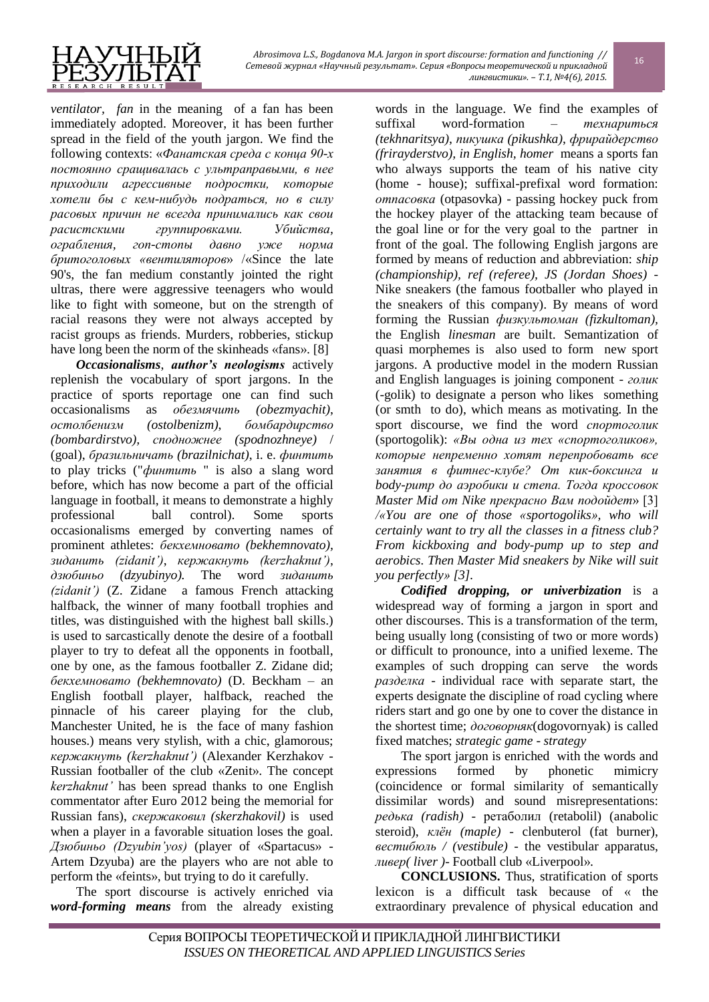

*ventilator, fan* in the meaning of a fan has been immediately adopted. Moreover, it has been further spread in the field of the youth jargon. We find the following contexts: «*Фанатская среда с конца 90-х постоянно сращивалась с ультраправыми, в нее приходили агрессивные подростки, которые хотели бы с кем-нибудь подраться, но в силу расовых причин не всегда принимались как свои расистскими группировками. Убийства, ограбления, гоп-стопы давно уже норма бритоголовых «вентиляторов*» /«Since the late 90's, the fan medium constantly jointed the right ultras, there were aggressive teenagers who would like to fight with someone, but on the strength of racial reasons they were not always accepted by racist groups as friends. Murders, robberies, stickup have long been the norm of the skinheads «fans». [8]

*Occasionalisms*, *author's neologisms* actively replenish the vocabulary of sport jargons. In the practice of sports reportage one can find such occasionalisms as *обезмячить (obezmyachit)*, *остолбенизм (ostolbenizm)*, *бомбардирство (bombardirstvo), сподножнее (spodnozhneye)* / (goal), *бразильничать (brazilnichat)*, i. e. *финтить* to play tricks ("*финтить* " is also a slang word before, which has now become a part of the official language in football, it means to demonstrate a highly professional ball control). Some sports occasionalisms emerged by converting names of prominent athletes: *бекхемновато (bekhemnovato), зиданить (zidanit')*, *кержакнуть (kerzhaknut')*, *дзюбиньо (dzyubinyo).* The word *зиданить (zidanit')* (Z. Zidane a famous French attacking halfback, the winner of many football trophies and titles, was distinguished with the highest ball skills.) is used to sarcastically denote the desire of a football player to try to defeat all the opponents in football, one by one, as the famous footballer Z. Zidane did; *бекхемновато (bekhemnovato)* (D. Beckham – an English football player, halfback, reached the pinnacle of his career playing for the club, Manchester United, he is the face of many fashion houses.) means very stylish, with a chic, glamorous; *кержакнуть (kerzhaknut')* (Alexander Kerzhakov - Russian footballer of the club «Zenit». The concept *kerzhaknut'* has been spread thanks to one English commentator after Euro 2012 being the memorial for Russian fans), *скержаковил (skerzhakovil)* is used when a player in a favorable situation loses the goal. *Дзюбиньо (Dzyubin'yos)* (player of «Spartacus» - Artem Dzyuba) are the players who are not able to perform the «feints», but trying to do it carefully.

The sport discourse is actively enriched via *word-forming means* from the already existing

words in the language. We find the examples of suffixal word-formation – *технариться (tekhnaritsya)*, *пикушка (pikushka)*, *фрирайдерство (frirayderstvo), in English, homer* means a sports fan who always supports the team of his native city (home - house); suffixal-prefixal word formation: *отпасовка* (otpasovka) - passing hockey puck from the hockey player of the attacking team because of the goal line or for the very goal to the partner in front of the goal. The following English jargons are formed by means of reduction and abbreviation: *ship (championship), ref (referee), JS (Jordan Shoes)* - Nike sneakers (the famous footballer who played in the sneakers of this company). By means of word forming the Russian *физкультоман (fizkultoman),* the English *linesman* are built. Semantization of quasi morphemes is also used to form new sport jargons. A productive model in the modern Russian and English languages is joining component - *голик* (-golik) to designate a person who likes something (or smth to do), which means as motivating. In the sport discourse, we find the word *спортоголик* (sportogolik): *«Вы одна из тех «спортоголиков», которые непременно хотят перепробовать все занятия в фитнес-клубе? От кик-боксинга и body-pump до аэробики и степа. Тогда кроссовок Master Mid от Nike прекрасно Вам подойдет*» [3] */«You are one of those «sportogoliks», who will certainly want to try all the classes in a fitness club? From kickboxing and body-pump up to step and aerobics. Then Master Mid sneakers by Nike will suit you perfectly» [3].*

*Codified dropping, or univerbization* is a widespread way of forming a jargon in sport and other discourses. This is a transformation of the term, being usually long (consisting of two or more words) or difficult to pronounce, into a unified lexeme. The examples of such dropping can serve the words *разделка* - individual race with separate start, the experts designate the discipline of road cycling where riders start and go one by one to cover the distance in the shortest time; *договорняк*(dogovornyak) is called fixed matches; *strategic game* - *strategy*

The sport jargon is enriched with the words and expressions formed by phonetic mimicry (coincidence or formal similarity of semantically dissimilar words) and sound misrepresentations: *редька (radish)* - ретаболил (retabolil) (anabolic steroid), *клён (maple)* - clenbuterol (fat burner), *вестибюль / (vestibule)* - the vestibular apparatus, *ливер( liver )*- Football club «Liverpool».

**CONCLUSIONS.** Thus, stratification of sports lexicon is a difficult task because of « the extraordinary prevalence of physical education and

16